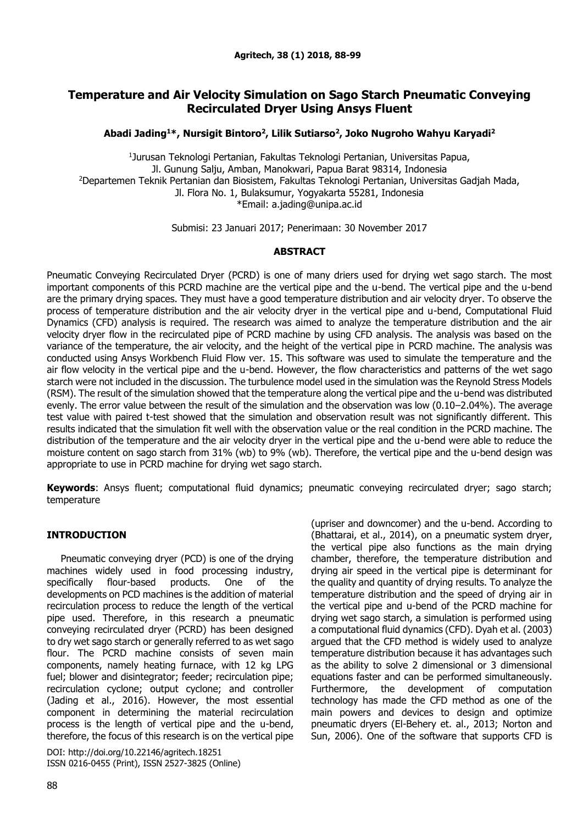# **Temperature and Air Velocity Simulation on Sago Starch Pneumatic Conveying Recirculated Dryer Using Ansys Fluent**

**Abadi Jading<sup>1</sup>\*, Nursigit Bintoro<sup>2</sup> , Lilik Sutiarso<sup>2</sup> , Joko Nugroho Wahyu Karyadi<sup>2</sup>**

1 Jurusan Teknologi Pertanian, Fakultas Teknologi Pertanian, Universitas Papua, Jl. Gunung Salju, Amban, Manokwari, Papua Barat 98314, Indonesia <sup>2</sup>Departemen Teknik Pertanian dan Biosistem, Fakultas Teknologi Pertanian, Universitas Gadjah Mada, Jl. Flora No. 1, Bulaksumur, Yogyakarta 55281, Indonesia \*Email: a.jading@unipa.ac.id

Submisi: 23 Januari 2017; Penerimaan: 30 November 2017

# **ABSTRACT**

Pneumatic Conveying Recirculated Dryer (PCRD) is one of many driers used for drying wet sago starch. The most important components of this PCRD machine are the vertical pipe and the u-bend. The vertical pipe and the u-bend are the primary drying spaces. They must have a good temperature distribution and air velocity dryer. To observe the process of temperature distribution and the air velocity dryer in the vertical pipe and u-bend, Computational Fluid Dynamics (CFD) analysis is required. The research was aimed to analyze the temperature distribution and the air velocity dryer flow in the recirculated pipe of PCRD machine by using CFD analysis. The analysis was based on the variance of the temperature, the air velocity, and the height of the vertical pipe in PCRD machine. The analysis was conducted using Ansys Workbench Fluid Flow ver. 15. This software was used to simulate the temperature and the air flow velocity in the vertical pipe and the u-bend. However, the flow characteristics and patterns of the wet sago starch were not included in the discussion. The turbulence model used in the simulation was the Reynold Stress Models (RSM). The result of the simulation showed that the temperature along the vertical pipe and the u-bend was distributed evenly. The error value between the result of the simulation and the observation was low (0.10–2.04%). The average test value with paired t-test showed that the simulation and observation result was not significantly different. This results indicated that the simulation fit well with the observation value or the real condition in the PCRD machine. The distribution of the temperature and the air velocity dryer in the vertical pipe and the u-bend were able to reduce the moisture content on sago starch from 31% (wb) to 9% (wb). Therefore, the vertical pipe and the u-bend design was appropriate to use in PCRD machine for drying wet sago starch.

**Keywords**: Ansys fluent; computational fluid dynamics; pneumatic conveying recirculated dryer; sago starch; temperature

# **INTRODUCTION**

Pneumatic conveying dryer (PCD) is one of the drying machines widely used in food processing industry, specifically flour-based products. One of the developments on PCD machines is the addition of material recirculation process to reduce the length of the vertical pipe used. Therefore, in this research a pneumatic conveying recirculated dryer (PCRD) has been designed to dry wet sago starch or generally referred to as wet sago flour. The PCRD machine consists of seven main components, namely heating furnace, with 12 kg LPG fuel; blower and disintegrator; feeder; recirculation pipe; recirculation cyclone; output cyclone; and controller (Jading et al., 2016). However, the most essential component in determining the material recirculation process is the length of vertical pipe and the u-bend, therefore, the focus of this research is on the vertical pipe

DOI: http://doi.org/10.22146/agritech.18251 ISSN 0216-0455 (Print), ISSN 2527-3825 (Online) (upriser and downcomer) and the u-bend. According to (Bhattarai, et al., 2014), on a pneumatic system dryer, the vertical pipe also functions as the main drying chamber, therefore, the temperature distribution and drying air speed in the vertical pipe is determinant for the quality and quantity of drying results. To analyze the temperature distribution and the speed of drying air in the vertical pipe and u-bend of the PCRD machine for drying wet sago starch, a simulation is performed using a computational fluid dynamics (CFD). Dyah et al. (2003) argued that the CFD method is widely used to analyze temperature distribution because it has advantages such as the ability to solve 2 dimensional or 3 dimensional equations faster and can be performed simultaneously. Furthermore, the development of computation technology has made the CFD method as one of the main powers and devices to design and optimize pneumatic dryers (El-Behery et. al., 2013; Norton and Sun, 2006). One of the software that supports CFD is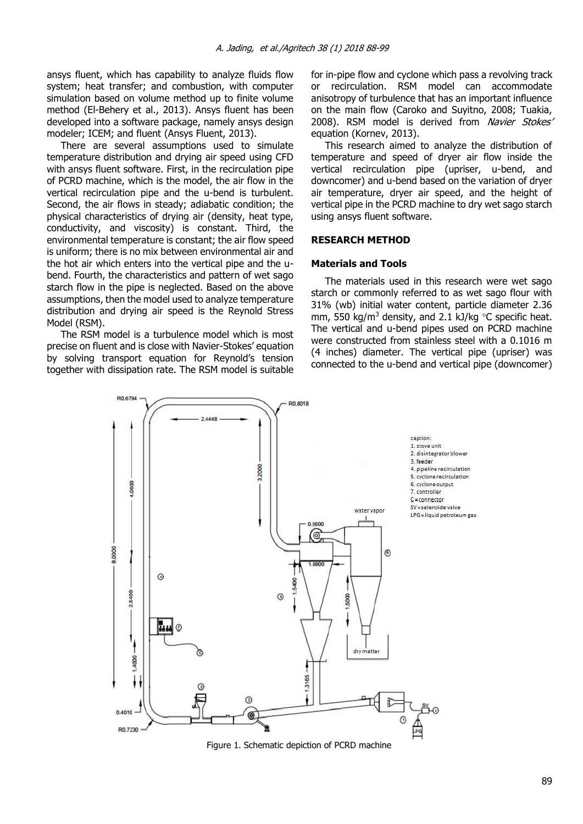ansys fluent, which has capability to analyze fluids flow system; heat transfer; and combustion, with computer simulation based on volume method up to finite volume method (El-Behery et al., 2013). Ansys fluent has been developed into a software package, namely ansys design modeler; ICEM; and fluent (Ansys Fluent, 2013).

There are several assumptions used to simulate temperature distribution and drying air speed using CFD with ansys fluent software. First, in the recirculation pipe of PCRD machine, which is the model, the air flow in the vertical recirculation pipe and the u-bend is turbulent. Second, the air flows in steady; adiabatic condition; the physical characteristics of drying air (density, heat type, conductivity, and viscosity) is constant. Third, the environmental temperature is constant; the air flow speed is uniform; there is no mix between environmental air and the hot air which enters into the vertical pipe and the ubend. Fourth, the characteristics and pattern of wet sago starch flow in the pipe is neglected. Based on the above assumptions, then the model used to analyze temperature distribution and drying air speed is the Reynold Stress Model (RSM).

The RSM model is a turbulence model which is most precise on fluent and is close with Navier-Stokes' equation by solving transport equation for Reynold's tension together with dissipation rate. The RSM model is suitable for in-pipe flow and cyclone which pass a revolving track or recirculation. RSM model can accommodate anisotropy of turbulence that has an important influence on the main flow (Caroko and Suyitno, 2008; Tuakia, 2008). RSM model is derived from Navier Stokes' equation (Kornev, 2013).

This research aimed to analyze the distribution of temperature and speed of dryer air flow inside the vertical recirculation pipe (upriser, u-bend, and downcomer) and u-bend based on the variation of dryer air temperature, dryer air speed, and the height of vertical pipe in the PCRD machine to dry wet sago starch using ansys fluent software.

### **RESEARCH METHOD**

#### **Materials and Tools**

The materials used in this research were wet sago starch or commonly referred to as wet sago flour with 31% (wb) initial water content, particle diameter 2.36 mm, 550 kg/m<sup>3</sup> density, and 2.1 kJ/kg  $\degree$ C specific heat. The vertical and u-bend pipes used on PCRD machine were constructed from stainless steel with a 0.1016 m (4 inches) diameter. The vertical pipe (upriser) was connected to the u-bend and vertical pipe (downcomer)



Figure 1. Schematic depiction of PCRD machine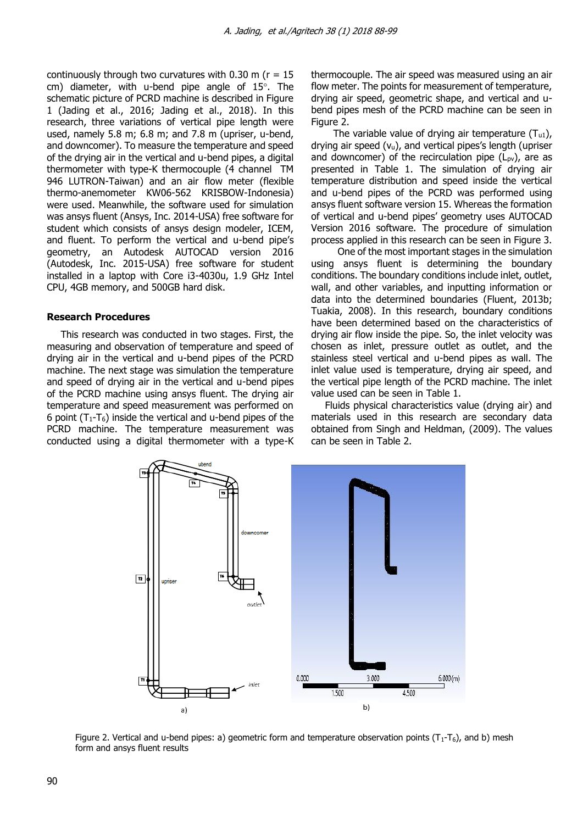continuously through two curvatures with  $0.30$  m ( $r = 15$ ) cm) diameter, with u-bend pipe angle of  $15^\circ$ . The schematic picture of PCRD machine is described in Figure 1 (Jading et al., 2016; Jading et al., 2018). In this research, three variations of vertical pipe length were used, namely 5.8 m; 6.8 m; and 7.8 m (upriser, u-bend, and downcomer). To measure the temperature and speed of the drying air in the vertical and u-bend pipes, a digital thermometer with type-K thermocouple (4 channel TM 946 LUTRON-Taiwan) and an air flow meter (flexible thermo-anemometer KW06-562 KRISBOW-Indonesia) were used. Meanwhile, the software used for simulation was ansys fluent (Ansys, Inc. 2014-USA) free software for student which consists of ansys design modeler, ICEM, and fluent. To perform the vertical and u-bend pipe's geometry, an Autodesk AUTOCAD version 2016 (Autodesk, Inc. 2015-USA) free software for student installed in a laptop with Core i3-4030u, 1.9 GHz Intel CPU, 4GB memory, and 500GB hard disk.

### **Research Procedures**

This research was conducted in two stages. First, the measuring and observation of temperature and speed of drying air in the vertical and u-bend pipes of the PCRD machine. The next stage was simulation the temperature and speed of drying air in the vertical and u-bend pipes of the PCRD machine using ansys fluent. The drying air temperature and speed measurement was performed on 6 point  $(T_1-T_6)$  inside the vertical and u-bend pipes of the PCRD machine. The temperature measurement was conducted using a digital thermometer with a type-K thermocouple. The air speed was measured using an air flow meter. The points for measurement of temperature, drying air speed, geometric shape, and vertical and ubend pipes mesh of the PCRD machine can be seen in Figure 2.

The variable value of drying air temperature  $(T<sub>u1</sub>)$ , drying air speed  $(v_u)$ , and vertical pipes's length (upriser and downcomer) of the recirculation pipe  $(L_{pv})$ , are as presented in Table 1. The simulation of drying air temperature distribution and speed inside the vertical and u-bend pipes of the PCRD was performed using ansys fluent software version 15. Whereas the formation of vertical and u-bend pipes' geometry uses AUTOCAD Version 2016 software. The procedure of simulation process applied in this research can be seen in Figure 3.

One of the most important stages in the simulation using ansys fluent is determining the boundary conditions. The boundary conditions include inlet, outlet, wall, and other variables, and inputting information or data into the determined boundaries (Fluent, 2013b; Tuakia, 2008). In this research, boundary conditions have been determined based on the characteristics of drying air flow inside the pipe. So, the inlet velocity was chosen as inlet, pressure outlet as outlet, and the stainless steel vertical and u-bend pipes as wall. The inlet value used is temperature, drying air speed, and the vertical pipe length of the PCRD machine. The inlet value used can be seen in Table 1.

Fluids physical characteristics value (drying air) and materials used in this research are secondary data obtained from Singh and Heldman, (2009). The values can be seen in Table 2.



Figure 2. Vertical and u-bend pipes: a) geometric form and temperature observation points  $(T_1-T_6)$ , and b) mesh form and ansys fluent results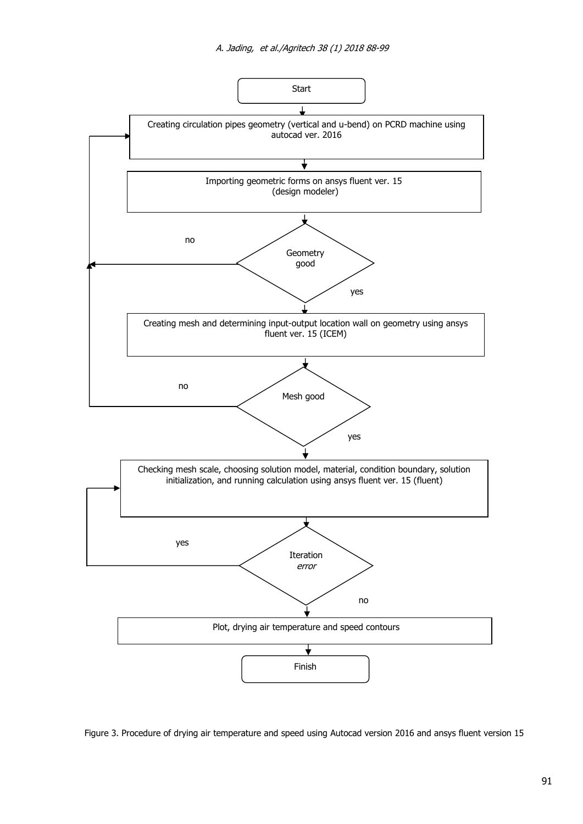

Figure 3. Procedure of drying air temperature and speed using Autocad version 2016 and ansys fluent version 15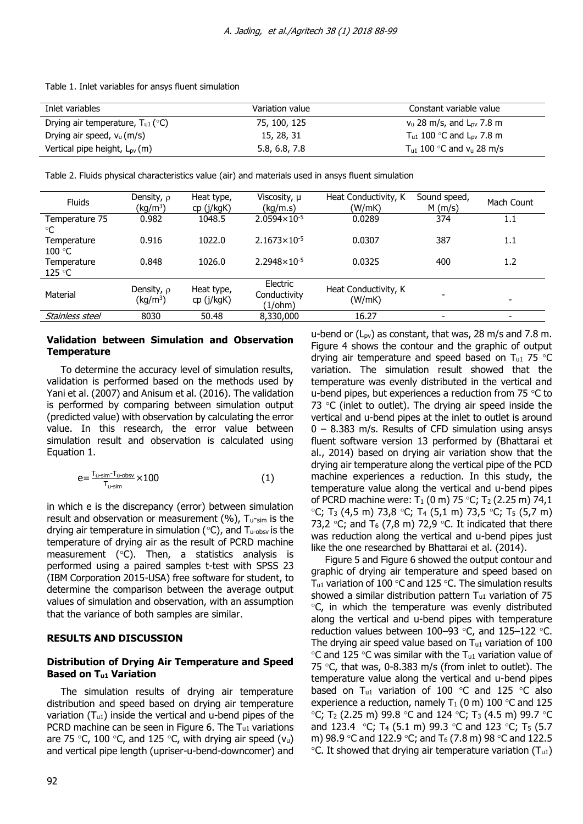| Inlet variables                       | Variation value | Constant variable value                          |
|---------------------------------------|-----------------|--------------------------------------------------|
| Drying air temperature, $T_{u1}$ (°C) | 75, 100, 125    | $v_{u}$ 28 m/s, and $L_{pv}$ 7.8 m               |
| Drying air speed, $v_u$ (m/s)         | 15, 28, 31      | $T_{\text{u1}}$ 100 °C and L <sub>pv</sub> 7.8 m |
| Vertical pipe height, $L_{pv}(m)$     | 5.8, 6.8, 7.8   | $T_{u1}$ 100 °C and $v_u$ 28 m/s                 |

Table 1. Inlet variables for ansys fluent simulation

Table 2. Fluids physical characteristics value (air) and materials used in ansys fluent simulation

| <b>Fluids</b>                  | Density, $\rho$<br>(kg/m <sup>3</sup> ) | Heat type,<br>cp (j/kgK) | Viscosity, µ<br>(kq/m.s)            | Heat Conductivity, K<br>(W/mK) | Sound speed,<br>$M$ (m/s) | Mach Count               |
|--------------------------------|-----------------------------------------|--------------------------|-------------------------------------|--------------------------------|---------------------------|--------------------------|
| Temperature 75<br>°C           | 0.982                                   | 1048.5                   | $2.0594\times10^{-5}$               | 0.0289                         | 374                       | 1.1                      |
| Temperature<br>100 °C          | 0.916                                   | 1022.0                   | $2.1673 \times 10^{-5}$             | 0.0307                         | 387                       | 1.1                      |
| Temperature<br>125 $\degree$ C | 0.848                                   | 1026.0                   | $2.2948 \times 10^{-5}$             | 0.0325                         | 400                       | 1.2                      |
| Material                       | Density, $\rho$<br>(kg/m <sup>3</sup> ) | Heat type,<br>cp (j/kgK) | Electric<br>Conductivity<br>(1/ohm) | Heat Conductivity, K<br>(W/mK) | -                         | $\overline{\phantom{0}}$ |
| Stainless steel                | 8030                                    | 50.48                    | 8,330,000                           | 16.27                          | ۰                         |                          |

# **Validation between Simulation and Observation Temperature**

To determine the accuracy level of simulation results, validation is performed based on the methods used by Yani et al. (2007) and Anisum et al. (2016). The validation is performed by comparing between simulation output (predicted value) with observation by calculating the error value. In this research, the error value between simulation result and observation is calculated using Equation 1.

$$
e = \frac{T_{u-sim} - T_{u-obsv}}{T_{u-sim}} \times 100
$$
 (1)

in which e is the discrepancy (error) between simulation result and observation or measurement  $(\%)$ ,  $T_{u\text{-sim}}$  is the drying air temperature in simulation ( $\degree$ C), and T<sub>u-obsv</sub> is the temperature of drying air as the result of PCRD machine measurement ( $\degree$ C). Then, a statistics analysis is performed using a paired samples t-test with SPSS 23 (IBM Corporation 2015-USA) free software for student, to determine the comparison between the average output values of simulation and observation, with an assumption that the variance of both samples are similar.

# **RESULTS AND DISCUSSION**

# **Distribution of Drying Air Temperature and Speed Based on Tu1 Variation**

The simulation results of drying air temperature distribution and speed based on drying air temperature variation  $(T<sub>u1</sub>)$  inside the vertical and u-bend pipes of the PCRD machine can be seen in Figure 6. The  $T_{u1}$  variations are 75 °C, 100 °C, and 125 °C, with drying air speed ( $v_u$ ) and vertical pipe length (upriser-u-bend-downcomer) and u-bend or  $(L_{pv})$  as constant, that was, 28 m/s and 7.8 m. Figure 4 shows the contour and the graphic of output drying air temperature and speed based on Tu1 75  $\degree$ C variation. The simulation result showed that the temperature was evenly distributed in the vertical and u-bend pipes, but experiences a reduction from 75  $\degree$ C to 73  $\degree$ C (inlet to outlet). The drying air speed inside the vertical and u-bend pipes at the inlet to outlet is around 0 – 8.383 m/s. Results of CFD simulation using ansys fluent software version 13 performed by (Bhattarai et al., 2014) based on drying air variation show that the drying air temperature along the vertical pipe of the PCD machine experiences a reduction. In this study, the temperature value along the vertical and u-bend pipes of PCRD machine were:  $T_1$  (0 m) 75 °C;  $T_2$  (2.25 m) 74,1  $°C$ ; T<sub>3</sub> (4,5 m) 73,8 °C; T<sub>4</sub> (5,1 m) 73,5 °C; T<sub>5</sub> (5,7 m) 73,2 °C; and T<sub>6</sub> (7,8 m) 72,9 °C. It indicated that there was reduction along the vertical and u-bend pipes just like the one researched by Bhattarai et al. (2014).

Figure 5 and Figure 6 showed the output contour and graphic of drying air temperature and speed based on T<sub>u1</sub> variation of 100 °C and 125 °C. The simulation results showed a similar distribution pattern  $T<sub>u1</sub>$  variation of 75 °C, in which the temperature was evenly distributed along the vertical and u-bend pipes with temperature reduction values between 100-93 °C, and 125-122 °C. The drying air speed value based on  $T_{u1}$  variation of 100  $\degree$ C and 125  $\degree$ C was similar with the T<sub>u1</sub> variation value of 75  $\degree$ C, that was, 0-8.383 m/s (from inlet to outlet). The temperature value along the vertical and u-bend pipes based on T<sub>u1</sub> variation of 100 °C and 125 °C also experience a reduction, namely  $T_1$  (0 m) 100 °C and 125  $°C$ ; T<sub>2</sub> (2.25 m) 99.8 °C and 124 °C; T<sub>3</sub> (4.5 m) 99.7 °C and 123.4 °C; T<sub>4</sub> (5.1 m) 99.3 °C and 123 °C; T<sub>5</sub> (5.7 m) 98.9 °C and 122.9 °C; and T<sub>6</sub> (7.8 m) 98 °C and 122.5  $\degree$ C. It showed that drying air temperature variation (T<sub>u1</sub>)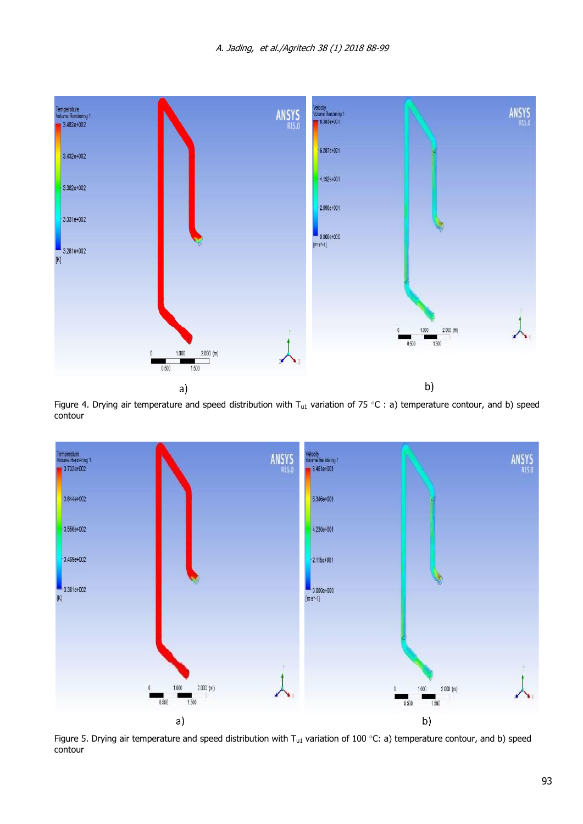

Figure 4. Drying air temperature and speed distribution with  $T_{u1}$  variation of 75 °C : a) temperature contour, and b) speed contour



Figure 5. Drying air temperature and speed distribution with T<sub>u1</sub> variation of 100 °C: a) temperature contour, and b) speed contour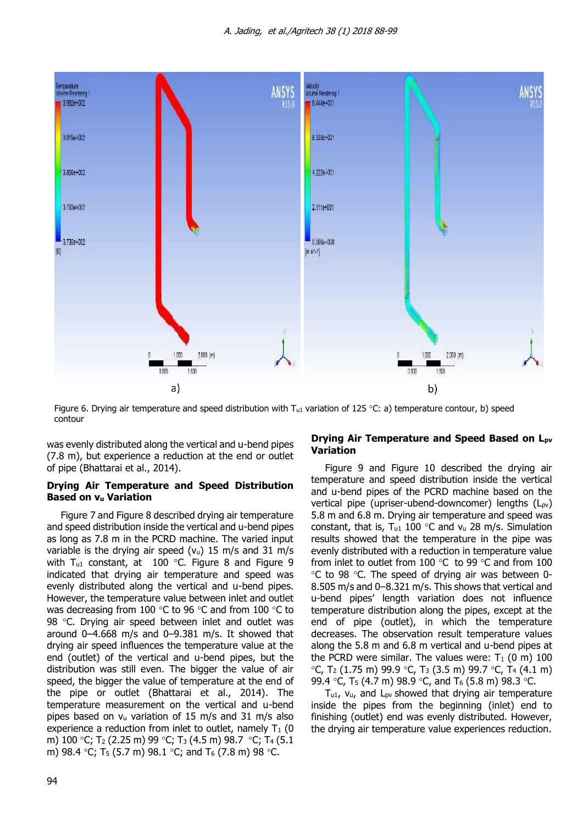

Figure 6. Drying air temperature and speed distribution with  $T_{u1}$  variation of 125 °C: a) temperature contour, b) speed contour

was evenly distributed along the vertical and u-bend pipes (7.8 m), but experience a reduction at the end or outlet of pipe (Bhattarai et al., 2014).

# **Drying Air Temperature and Speed Distribution Based on vu Variation**

Figure 7 and Figure 8 described drying air temperature and speed distribution inside the vertical and u-bend pipes as long as 7.8 m in the PCRD machine. The varied input variable is the drying air speed  $(v_u)$  15 m/s and 31 m/s with  $T_{u1}$  constant, at 100 °C. Figure 8 and Figure 9 indicated that drying air temperature and speed was evenly distributed along the vertical and u-bend pipes. However, the temperature value between inlet and outlet was decreasing from 100  $\degree$ C to 96  $\degree$ C and from 100  $\degree$ C to 98 °C. Drying air speed between inlet and outlet was around 0–4.668 m/s and 0–9.381 m/s. It showed that drying air speed influences the temperature value at the end (outlet) of the vertical and u-bend pipes, but the distribution was still even. The bigger the value of air speed, the bigger the value of temperature at the end of the pipe or outlet (Bhattarai et al., 2014). The temperature measurement on the vertical and u-bend pipes based on vu variation of 15 m/s and 31 m/s also experience a reduction from inlet to outlet, namely  $T_1$  (0 m) 100 °C; T<sub>2</sub> (2.25 m) 99 °C; T<sub>3</sub> (4.5 m) 98.7 °C; T<sub>4</sub> (5.1 m) 98.4 °C; T<sub>5</sub> (5.7 m) 98.1 °C; and T<sub>6</sub> (7.8 m) 98 °C.

### **Drying Air Temperature and Speed Based on Lpv Variation**

Figure 9 and Figure 10 described the drying air temperature and speed distribution inside the vertical and u-bend pipes of the PCRD machine based on the vertical pipe (upriser-ubend-downcomer) lengths (Lpv) 5.8 m and 6.8 m. Drying air temperature and speed was constant, that is,  $T_{u1}$  100 °C and  $v_u$  28 m/s. Simulation results showed that the temperature in the pipe was evenly distributed with a reduction in temperature value from inlet to outlet from 100  $\degree$ C to 99  $\degree$ C and from 100  $\degree$ C to 98  $\degree$ C. The speed of drying air was between 0-8.505 m/s and 0–8.321 m/s. This shows that vertical and u-bend pipes' length variation does not influence temperature distribution along the pipes, except at the end of pipe (outlet), in which the temperature decreases. The observation result temperature values along the 5.8 m and 6.8 m vertical and u-bend pipes at the PCRD were similar. The values were:  $T_1$  (0 m) 100  $\degree$ C, T<sub>2</sub> (1.75 m) 99.9  $\degree$ C, T<sub>3</sub> (3.5 m) 99.7  $\degree$ C, T<sub>4</sub> (4.1 m) 99.4 °C, T<sub>5</sub> (4.7 m) 98.9 °C, and T<sub>6</sub> (5.8 m) 98.3 °C.

 $T_{u1}$ ,  $V_{u}$ , and  $L_{pv}$  showed that drying air temperature inside the pipes from the beginning (inlet) end to finishing (outlet) end was evenly distributed. However, the drying air temperature value experiences reduction.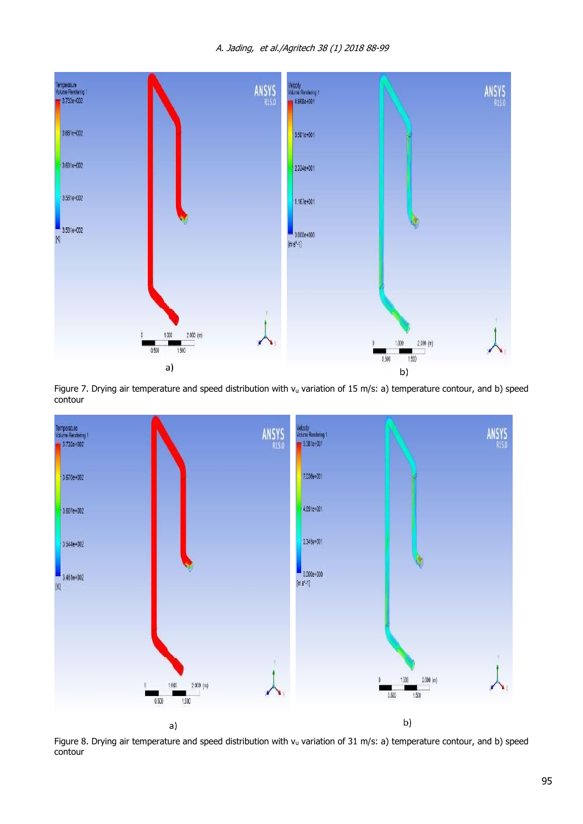

Figure 7. Drying air temperature and speed distribution with  $v_u$  variation of 15 m/s: a) temperature contour, and b) speed contour



Figure 8. Drying air temperature and speed distribution with  $v_u$  variation of 31 m/s: a) temperature contour, and b) speed contour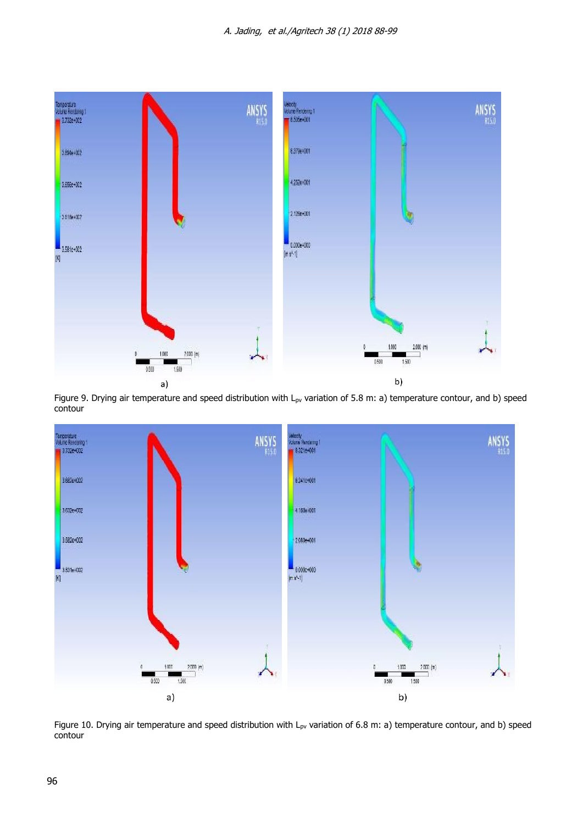

Figure 9. Drying air temperature and speed distribution with  $L_{pv}$  variation of 5.8 m: a) temperature contour, and b) speed contour

![](_page_8_Figure_3.jpeg)

Figure 10. Drying air temperature and speed distribution with  $L_{pv}$  variation of 6.8 m: a) temperature contour, and b) speed contour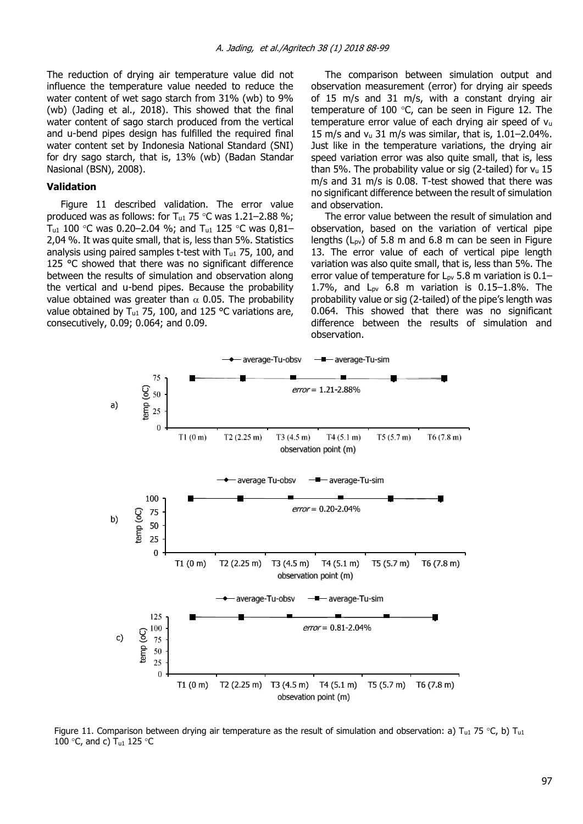The reduction of drying air temperature value did not influence the temperature value needed to reduce the water content of wet sago starch from 31% (wb) to 9% (wb) (Jading et al., 2018). This showed that the final water content of sago starch produced from the vertical and u-bend pipes design has fulfilled the required final water content set by Indonesia National Standard (SNI) for dry sago starch, that is, 13% (wb) (Badan Standar Nasional (BSN), 2008).

#### **Validation**

Figure 11 described validation. The error value produced was as follows: for  $T_{u1}$  75 °C was 1.21–2.88 %; T<sub>u1</sub> 100 °C was 0.20–2.04 %; and T<sub>u1</sub> 125 °C was 0,81– 2,04 %. It was quite small, that is, less than 5%. Statistics analysis using paired samples t-test with  $T<sub>u1</sub>$  75, 100, and 125 °C showed that there was no significant difference between the results of simulation and observation along the vertical and u-bend pipes. Because the probability value obtained was greater than  $\alpha$  0.05. The probability value obtained by  $T_{u1}$  75, 100, and 125 °C variations are, consecutively, 0.09; 0.064; and 0.09.

The comparison between simulation output and observation measurement (error) for drying air speeds of 15 m/s and 31 m/s, with a constant drying air temperature of 100  $\degree$ C, can be seen in Figure 12. The temperature error value of each drying air speed of vu 15 m/s and vu 31 m/s was similar, that is, 1.01–2.04%. Just like in the temperature variations, the drying air speed variation error was also quite small, that is, less than 5%. The probability value or sig (2-tailed) for  $v_u$  15 m/s and 31 m/s is 0.08. T-test showed that there was no significant difference between the result of simulation and observation.

The error value between the result of simulation and observation, based on the variation of vertical pipe lengths  $(L_{pv})$  of 5.8 m and 6.8 m can be seen in Figure 13. The error value of each of vertical pipe length variation was also quite small, that is, less than 5%. The error value of temperature for  $L_{pv}$  5.8 m variation is 0.1– 1.7%, and  $L_{\text{ov}}$  6.8 m variation is 0.15-1.8%. The probability value or sig (2-tailed) of the pipe's length was 0.064. This showed that there was no significant difference between the results of simulation and observation.

![](_page_9_Figure_6.jpeg)

Figure 11. Comparison between drying air temperature as the result of simulation and observation: a) T<sub>u1</sub> 75 °C, b) T<sub>u1</sub> 100 °C, and c) T<sub>u1</sub> 125 °C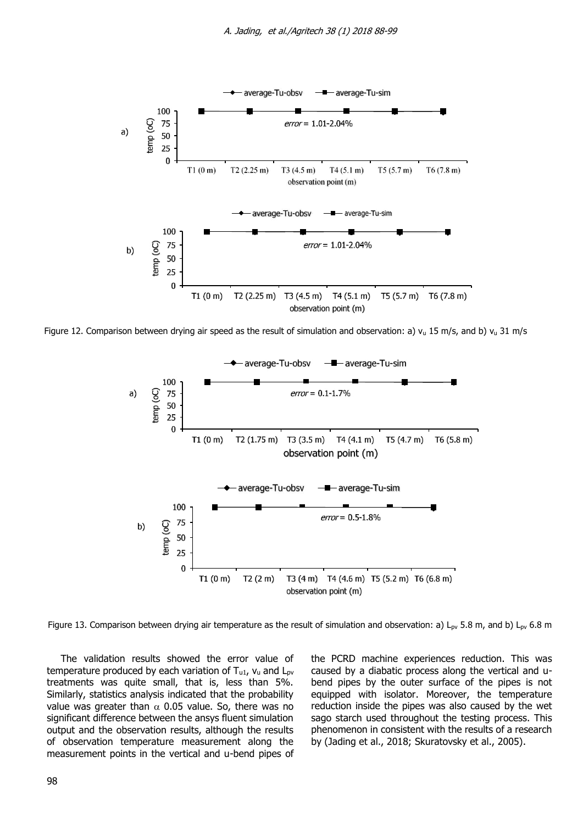![](_page_10_Figure_1.jpeg)

Figure 12. Comparison between drying air speed as the result of simulation and observation: a)  $v_u$  15 m/s, and b)  $v_u$  31 m/s

![](_page_10_Figure_3.jpeg)

Figure 13. Comparison between drying air temperature as the result of simulation and observation: a)  $L_{pv}$  5.8 m, and b)  $L_{pv}$  6.8 m

The validation results showed the error value of temperature produced by each variation of  $T_{u1}$ ,  $v_u$  and  $L_{pv}$ treatments was quite small, that is, less than 5%. Similarly, statistics analysis indicated that the probability value was greater than  $\alpha$  0.05 value. So, there was no significant difference between the ansys fluent simulation output and the observation results, although the results of observation temperature measurement along the measurement points in the vertical and u-bend pipes of the PCRD machine experiences reduction. This was caused by a diabatic process along the vertical and ubend pipes by the outer surface of the pipes is not equipped with isolator. Moreover, the temperature reduction inside the pipes was also caused by the wet sago starch used throughout the testing process. This phenomenon in consistent with the results of a research by (Jading et al., 2018; Skuratovsky et al., 2005).